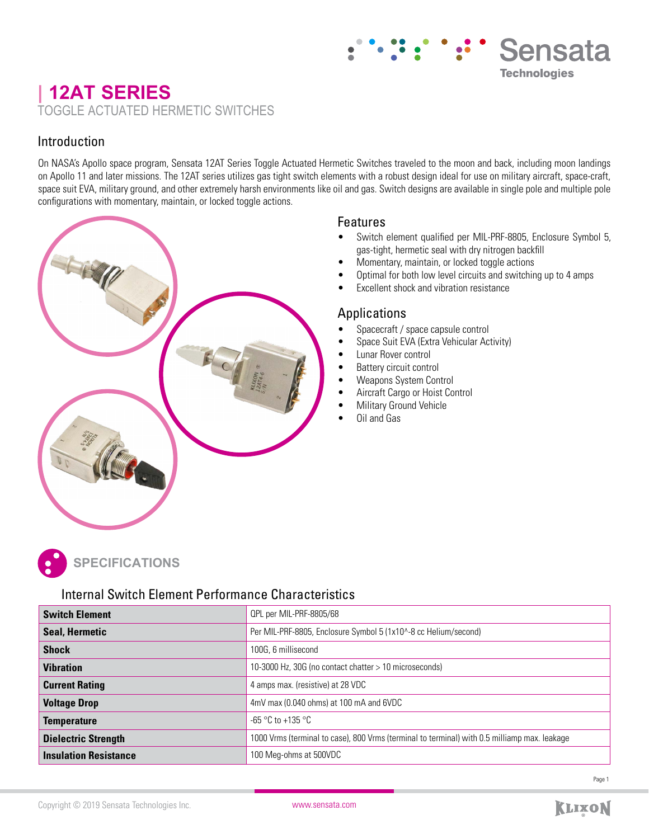## **| 12AT SERIES**  TOGGLE ACTUATED HERMETIC SWITCHES

## Introduction

On NASA's Apollo space program, Sensata 12AT Series Toggle Actuated Hermetic Switches traveled to the moon and back, including moon landings on Apollo 11 and later missions. The 12AT series utilizes gas tight switch elements with a robust design ideal for use on military aircraft, space-craft, space suit EVA, military ground, and other extremely harsh environments like oil and gas. Switch designs are available in single pole and multiple pole configurations with momentary, maintain, or locked toggle actions.

## Features

• Switch element qualified per MIL-PRF-8805, Enclosure Symbol 5, gas-tight, hermetic seal with dry nitrogen backfill

Sensata

**Technologies** 

- Momentary, maintain, or locked toggle actions
- Optimal for both low level circuits and switching up to 4 amps
- Excellent shock and vibration resistance

## Applications

- Spacecraft / space capsule control
- Space Suit EVA (Extra Vehicular Activity)
- Lunar Rover control
- Battery circuit control
- Weapons System Control
- Aircraft Cargo or Hoist Control
- **Military Ground Vehicle**
- Oil and Gas



# **PECIFICATIONS**

## Internal Switch Element Performance Characteristics

| <b>Switch Element</b>        | QPL per MIL-PRF-8805/68                                                                      |
|------------------------------|----------------------------------------------------------------------------------------------|
| <b>Seal, Hermetic</b>        | Per MIL-PRF-8805, Enclosure Symbol 5 (1x10^-8 cc Helium/second)                              |
| <b>Shock</b>                 | 100G, 6 millisecond                                                                          |
| <b>Vibration</b>             | 10-3000 Hz, 30G (no contact chatter > 10 microseconds)                                       |
| <b>Current Rating</b>        | 4 amps max. (resistive) at 28 VDC                                                            |
| <b>Voltage Drop</b>          | 4mV max (0.040 ohms) at 100 mA and 6VDC                                                      |
| <b>Temperature</b>           | -65 °C to +135 °C                                                                            |
| <b>Dielectric Strength</b>   | 1000 Vrms (terminal to case), 800 Vrms (terminal to terminal) with 0.5 milliamp max. leakage |
| <b>Insulation Resistance</b> | 100 Meg-ohms at 500VDC                                                                       |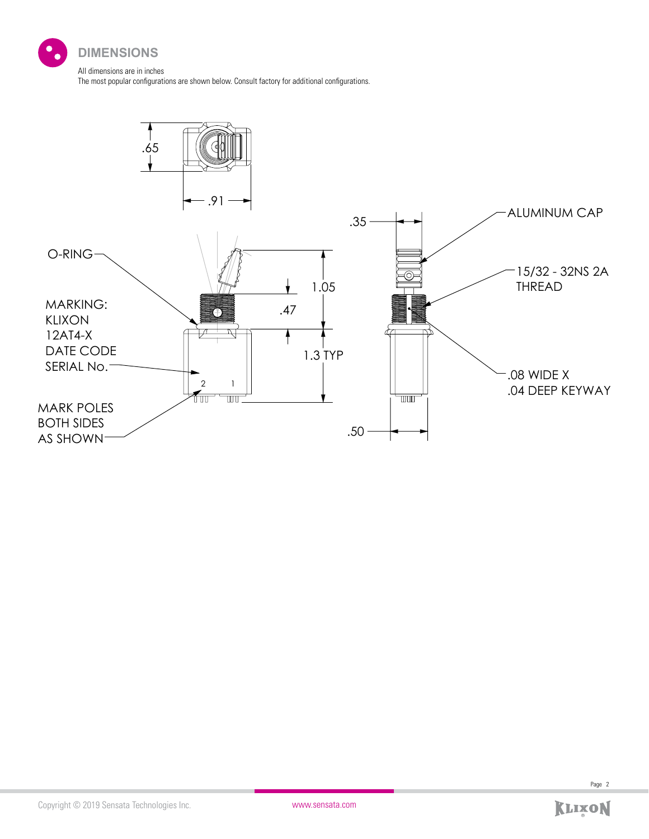

The most popular configurations are shown below. Consult factory for additional configurations.